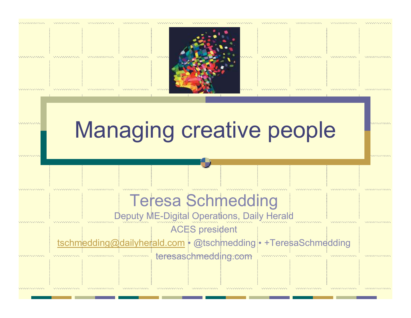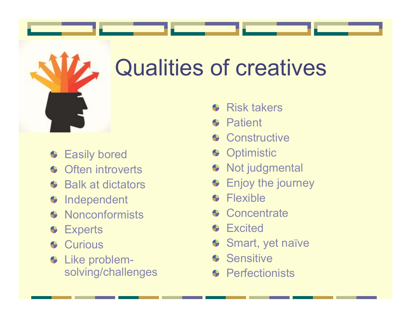# Qualities of creatives

- **Easily bored**
- Often introverts
- **← Balk at dictators**
- **Independent**
- **Nonconformists**
- **+** Experts
- **Curious**
- Like problemsolving/challenges
- Risk takers $\triangle$
- **Patient**  $\bullet$
- **Constructive**
- **+** Optimistic
- Not judgmental
- **Enjoy the journey**
- Flexible $\bullet$
- **Concentrate**
- **Excited** .
- Smart, yet naïve
- **Sensitive**  $\bullet$
- **Perfectionists**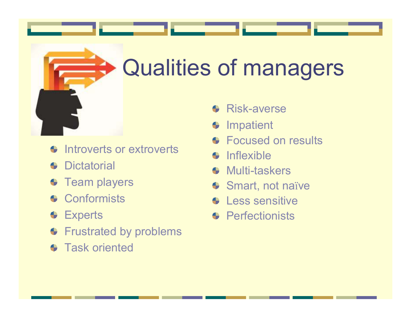

# Qualities of managers

- Introverts or extroverts $\triangle$
- **+** Dictatorial
- **Team players**
- **+** Conformists
- **CEXperts**
- **Frustrated by problems**
- **Task oriented**
- **Risk-averse**
- Impatient۰
- Focused on results
- Inflexible $\triangle$
- Multi-taskers $\bullet$
- Smart, not naïve
- Less sensitive
- **Perfectionists**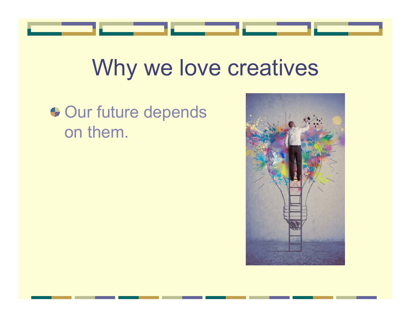

#### Why we love creatives

#### **← Our future depends** on them.

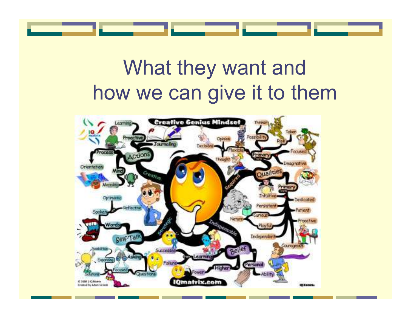#### What they want and how we can give it to them

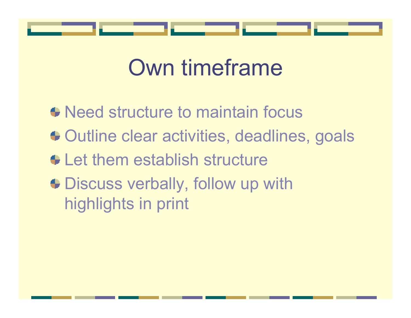

## Own timeframe

• Need structure to maintain focus **← Outline clear activities, deadlines, goals**  $\bullet$  **Let them establish structure** • Discuss verbally, follow up with highlights in print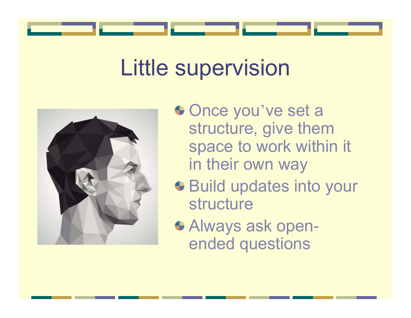### Little supervision



- Once you've set a structure, give them space to work within it in their own way
- **Build updates into your** structure
- Always ask openended questions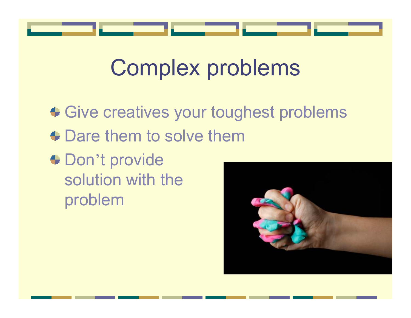

## Complex problems

Give creatives your toughest problems • Dare them to solve them Don't provide solution with theproblem

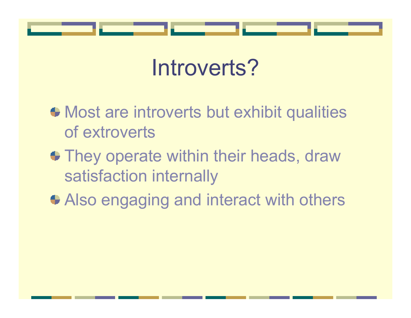

### Introverts?

- $\bullet$  Most are introverts but exhibit qualities of extroverts
- They operate within their heads, draw satisfaction internally
- Also engaging and interact with others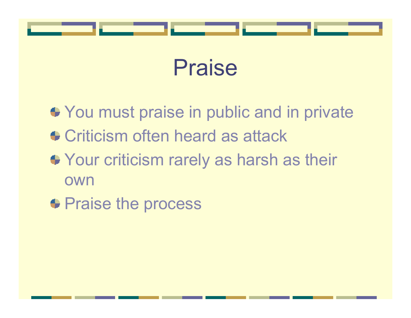



- **◆ You must praise in public and in private**
- **← Criticism often heard as attack**
- $\blacklozenge$  Your criticism rarely as harsh as their own
- **Praise the process**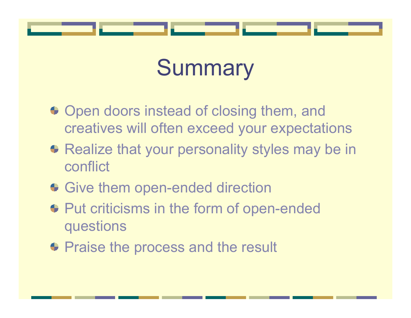

## **Summary**

- Open doors instead of closing them, and creatives will often exceed your expectations
- **Realize that your personality styles may be in** conflict
- Give them open-ended direction
- **← Put criticisms in the form of open-ended** questions
- **Praise the process and the result**